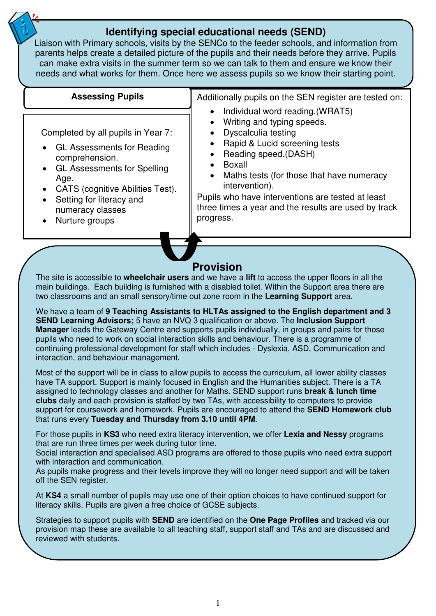# **Identifying special educational needs (SEND)**

Liaison with Primary schools, visits by the SENCo to the feeder schools, and information from parents helps create a detailed picture of the pupils and their needs before they arrive. Pupils can make extra visits in the summer term so we can talk to them and ensure we know their needs and what works for them. Once here we assess pupils so we know their starting point.

#### Completed by all pupils in Year 7: • GL Assessments for Reading comprehension. • GL Assessments for Spelling Age. • CATS (cognitive Abilities Test). • Setting for literacy and numeracy classes • Nurture groups Additionally pupils on the SEN register are tested on: • Individual word reading.(WRAT5) • Writing and typing speeds. • Dyscalculia testing • Rapid & Lucid screening tests • Reading speed.(DASH) • Boxall Maths tests (for those that have numeracy intervention). Pupils who have interventions are tested at least three times a year and the results are used by track progress. **Assessing Pupils Provision**  The site is accessible to **wheelchair users** and we have a **lift** to access the upper floors in all the main buildings. Each building is furnished with a disabled toilet. Within the Support area there are two classrooms and an small sensory/time out zone room in the **Learning Support** area.

We have a team of **9 Teaching Assistants to HLTAs assigned to the English department and 3 SEND Learning Advisors;** 5 have an NVQ 3 qualification or above. The **Inclusion Support Manager** leads the Gateway Centre and supports pupils individually, in groups and pairs for those pupils who need to work on social interaction skills and behaviour. There is a programme of continuing professional development for staff which includes - Dyslexia, ASD, Communication and interaction, and behaviour management.

Most of the support will be in class to allow pupils to access the curriculum, all lower ability classes have TA support. Support is mainly focused in English and the Humanities subject. There is a TA assigned to technology classes and another for Maths. SEND support runs **break & lunch time clubs** daily and each provision is staffed by two TAs, with accessibility to computers to provide support for coursework and homework. Pupils are encouraged to attend the **SEND Homework club** that runs every **Tuesday and Thursday from 3.10 until 4PM**.

For those pupils in **KS3** who need extra literacy intervention, we offer **Lexia and Nessy** programs that are run three times per week during tutor time.

Social interaction and specialised ASD programs are offered to those pupils who need extra support with interaction and communication.

As pupils make progress and their levels improve they will no longer need support and will be taken off the SEN register.

At **KS4** a small number of pupils may use one of their option choices to have continued support for literacy skills. Pupils are given a free choice of GCSE subjects.

Strategies to support pupils with **SEND** are identified on the **One Page Profiles** and tracked via our provision map these are available to all teaching staff, support staff and TAs and are discussed and reviewed with students.

Some pupils may need **Access Arrangements** for exams and tests, if they meet the criteria for this